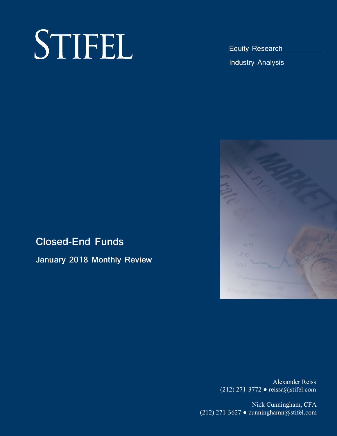# $S$ **TIFEL**

Equity Research

Industry Analysis



# **Closed-End Funds**

**January 2018 Monthly Review** 

Alexander Reiss (212) 271-3772 *●* reissa@stifel.com

Nick Cunningham, CFA (212) 271-3627 *●* cunninghamn@stifel.com